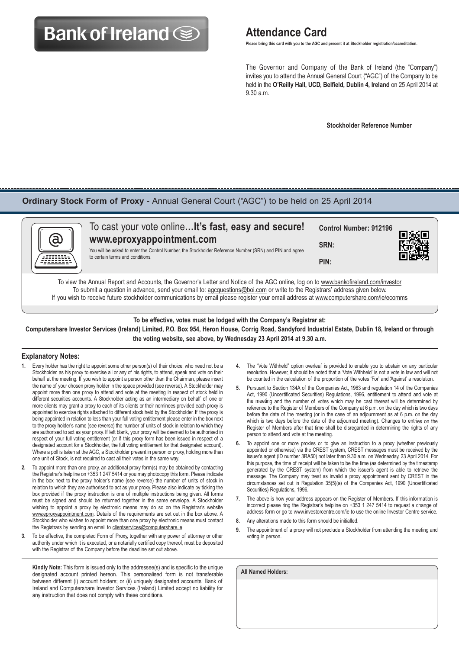# **Bank of Ireland Solution Attendance Card**

 **Please bring this card with you to the AGC and present it at Stockholder registration/accreditation.**

 The Governor and Company of the Bank of Ireland (the "Company") invites you to attend the Annual General Court ("AGC") of the Company to be held in the **O'Reilly Hall, UCD, Belfield, Dublin 4, Ireland** on 25 April 2014 at 9.30 a.m.

 **Stockholder Reference Number**

### **Ordinary Stock Form of Proxy** - Annual General Court ("AGC") to be held on 25 April 2014



To view the Annual Report and Accounts, the Governor's Letter and Notice of the AGC online, log on to www.bankofireland.com/investor To submit a question in advance, send your email to: agcquestions@boi.com or write to the Registrars' address given below. If you wish to receive future stockholder communications by email please register your email address at www.computershare.com/ie/ecomms

**To be effective, votes must be lodged with the Company's Registrar at: Computershare Investor Services (Ireland) Limited, P.O. Box 954, Heron House, Corrig Road, Sandyford Industrial Estate, Dublin 18, Ireland or through the voting website, see above, by Wednesday 23 April 2014 at 9.30 a.m.**

#### **Explanatory Notes:**

- **1.** Every holder has the right to appoint some other person(s) of their choice, who need not be a Stockholder, as his proxy to exercise all or any of his rights, to attend, speak and vote on their behalf at the meeting. If you wish to appoint a person other than the Chairman, please insert the name of your chosen proxy holder in the space provided (see reverse). A Stockholder may appoint more than one proxy to attend and vote at the meeting in respect of stock held in different securities accounts. A Stockholder acting as an intermediary on behalf of one or more clients may grant a proxy to each of its clients or their nominees provided each proxy is appointed to exercise rights attached to different stock held by the Stockholder. If the proxy is being appointed in relation to less than your full voting entitlement please enter in the box next to the proxy holder's name (see reverse) the number of units of stock in relation to which they are authorised to act as your proxy. If left blank, your proxy will be deemed to be authorised in respect of your full voting entitlement (or if this proxy form has been issued in respect of a designated account for a Stockholder, the full voting entitlement for that designated account). Where a poll is taken at the AGC, a Stockholder present in person or proxy, holding more than one unit of Stock, is not required to cast all their votes in the same way.
- **2.** To appoint more than one proxy, an additional proxy form(s) may be obtained by contacting the Registrar's helpline on +353 1 247 5414 or you may photocopy this form. Please indicate in the box next to the proxy holder's name (see reverse) the number of units of stock in relation to which they are authorised to act as your proxy. Please also indicate by ticking the box provided if the proxy instruction is one of multiple instructions being given. All forms must be signed and should be returned together in the same envelope. A Stockholder wishing to appoint a proxy by electronic means may do so on the Registrar's website www.eproxyappointment.com. Details of the requirements are set out in the box above. A Stockholder who wishes to appoint more than one proxy by electronic means must contact the Registrars by sending an email to clientservices@computershare.ie
- **3.** To be effective, the completed Form of Proxy, together with any power of attorney or other authority under which it is executed, or a notarially certified copy thereof, must be deposited with the Registrar of the Company before the deadline set out above.

**Kindly Note:** This form is issued only to the addressee(s) and is specific to the unique designated account printed hereon. This personalised form is not transferable between different (i) account holders; or (ii) uniquely designated accounts. Bank of Ireland and Computershare Investor Services (Ireland) Limited accept no liability for any instruction that does not comply with these conditions.

- **4.** The "Vote Withheld" option overleaf is provided to enable you to abstain on any particular resolution. However, it should be noted that a 'Vote Withheld' is not a vote in law and will not be counted in the calculation of the proportion of the votes 'For' and 'Against' a resolution.
- **5.** Pursuant to Section 134A of the Companies Act, 1963 and regulation 14 of the Companies Act, 1990 (Uncertificated Securities) Regulations, 1996, entitlement to attend and vote at the meeting and the number of votes which may be cast thereat will be determined by reference to the Register of Members of the Company at 6 p.m. on the day which is two days before the date of the meeting (or in the case of an adjournment as at 6 p.m. on the day which is two days before the date of the adjourned meeting). Changes to entries on the Register of Members after that time shall be disregarded in determining the rights of any person to attend and vote at the meeting.
- **6.** To appoint one or more proxies or to give an instruction to a proxy (whether previously appointed or otherwise) via the CREST system, CREST messages must be received by the issuer's agent (ID number 3RA50) not later than 9.30 a.m. on Wednesday, 23 April 2014. For this purpose, the time of receipt will be taken to be the time (as determined by the timestamp generated by the CREST system) from which the issuer's agent is able to retrieve the message. The Company may treat as invalid a proxy appointment sent by CREST in the circumstances set out in Regulation 35(5)(a) of the Companies Act, 1990 (Uncertificated Securities) Regulations, 1996.
- **7.** The above is how your address appears on the Register of Members. If this information is incorrect please ring the Registrar's helpline on +353 1 247 5414 to request a change of address form or go to www.investorcentre.com/ie to use the online Investor Centre service.
- **8.** Any alterations made to this form should be initialled.
- **9.** The appointment of a proxy will not preclude a Stockholder from attending the meeting and voting in person.

**All Named Holders:**